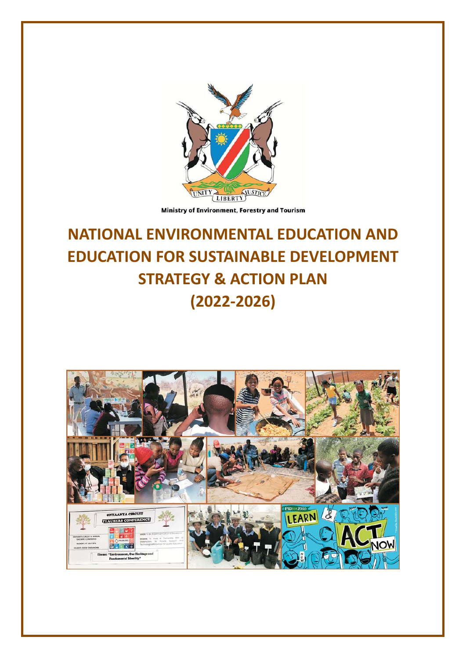

Ministry of Environment, Forestry and Tourism

# **NATIONAL ENVIRONMENTAL EDUCATION AND EDUCATION FOR SUSTAINABLE DEVELOPMENT STRATEGY & ACTION PLAN**  $(2022 - 2026)$

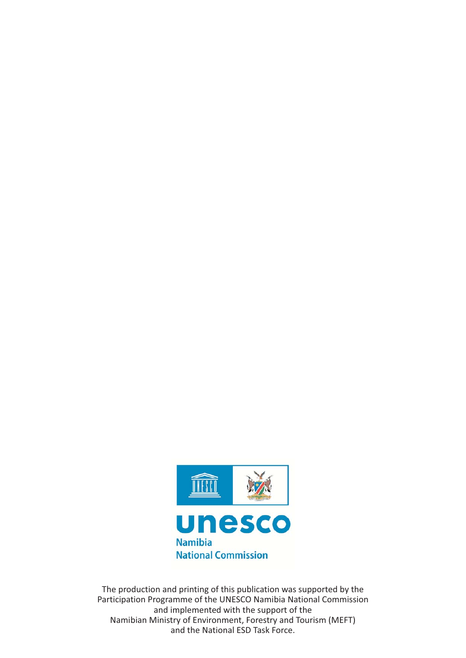

The production and printing of this publication was supported by the Participation Programme of the UNESCO Namibia National Commission and implemented with the support of the Namibian Ministry of Environment, Forestry and Tourism (MEFT) and the National ESD Task Force.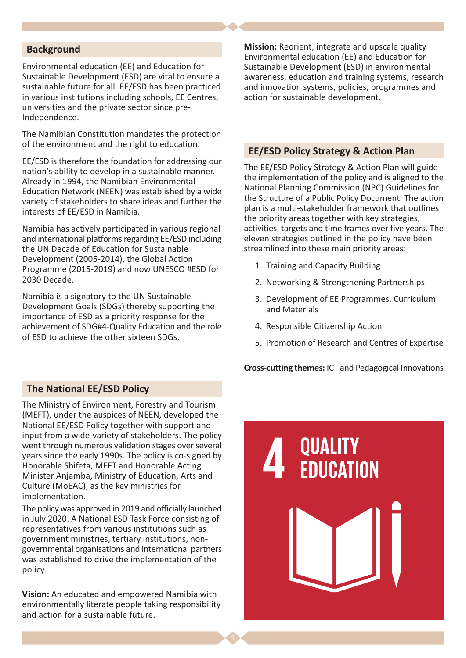#### **Background**

Environmental education (EE) and Education for Sustainable Development (ESD) are vital to ensure a sustainable future for all. EE/ESD has been practiced in various institutions including schools, EE Centres, universities and the private sector since pre-Independence.

The Namibian Constitution mandates the protection of the environment and the right to education.

EE/ESD is therefore the foundation for addressing our nation's ability to develop in a sustainable manner. Already in 1994, the Namibian Environmental Education Network (NEEN) was established by a wide variety of stakeholders to share ideas and further the interests of EE/ESD in Namibia.

Namibia has actively participated in various regional and international platforms regarding EE/ESD including the UN Decade of Education for Sustainable Development (2005-2014), the Global Action Programme (2015-2019) and now UNESCO #ESD for 2030 Decade.

Namibia is a signatory to the UN Sustainable Development Goals (SDGs) thereby supporting the importance of ESD as a priority response for the achievement of SDG#4-Quality Education and the role of ESD to achieve the other sixteen SDGs.

Mission: Reorient, integrate and upscale quality Environmental education (EE) and Education for Sustainable Development (ESD) in environmental awareness, education and training systems, research and innovation systems, policies, programmes and action for sustainable development.

#### **EE/ESD Policy Strategy & Action Plan**

The EE/ESD Policy Strategy & Action Plan will guide the implementation of the policy and is aligned to the National Planning Commission (NPC) Guidelines for the Structure of a Public Policy Document. The action plan is a multi-stakeholder framework that outlines the priority areas together with key strategies, activities, targets and time frames over five years. The eleven strategies outlined in the policy have been streamlined into these main priority areas:

- 1. Training and Capacity Building
- 2. Networking & Strengthening Partnerships
- 3. Development of EE Programmes, Curriculum and Materials
- 4. Responsible Citizenship Action
- 5. Promotion of Research and Centres of Expertise

**Cross-cutting themes: ICT and Pedagogical Innovations** 

#### **The National EE/ESD Policy**

The Ministry of Environment, Forestry and Tourism (MEFT), under the auspices of NEEN, developed the National EE/ESD Policy together with support and input from a wide-variety of stakeholders. The policy went through numerous validation stages over several years since the early 1990s. The policy is co-signed by Honorable Shifeta, MEFT and Honorable Acting Minister Aniamba, Ministry of Education, Arts and Culture (MoEAC), as the key ministries for implementation.

The policy was approved in 2019 and officially launched in July 2020. A National ESD Task Force consisting of representatives from various institutions such as government ministries, tertiary institutions, nongovernmental organisations and international partners was established to drive the implementation of the policy.

Vision: An educated and empowered Namibia with environmentally literate people taking responsibility and action for a sustainable future.

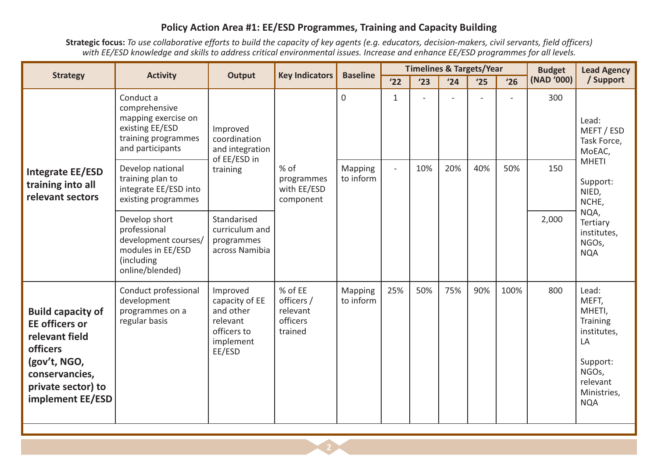#### Policy Action Area #1: EE/ESD Programmes, Training and Capacity Building

Strategic focus: To use collaborative efforts to build the capacity of key agents (e.g. educators, decision-makers, civil servants, field officers) with EE/ESD knowledge and skills to address critical environmental issues. Increase and enhance EE/ESD programmes for all levels.

| <b>Strategy</b>                                                                                                                                             | <b>Activity</b>                                                                                                 | <b>Output</b>                                                                             | <b>Key Indicators</b>                                    |                      |                          | <b>Timelines &amp; Targets/Year</b> |     |     |      | <b>Budget</b> | <b>Lead Agency</b>                                                                                                                   |
|-------------------------------------------------------------------------------------------------------------------------------------------------------------|-----------------------------------------------------------------------------------------------------------------|-------------------------------------------------------------------------------------------|----------------------------------------------------------|----------------------|--------------------------|-------------------------------------|-----|-----|------|---------------|--------------------------------------------------------------------------------------------------------------------------------------|
|                                                                                                                                                             |                                                                                                                 |                                                                                           |                                                          | <b>Baseline</b>      | '22                      | '23                                 | '24 | '25 | '26  | (NAD '000)    | / Support                                                                                                                            |
|                                                                                                                                                             | Conduct a<br>comprehensive<br>mapping exercise on<br>existing EE/ESD<br>training programmes<br>and participants | Improved<br>coordination<br>and integration<br>of EE/ESD in                               |                                                          | $\mathbf 0$          | 1                        |                                     |     |     |      | 300           | Lead:<br>MEFT / ESD<br>Task Force,<br>MoEAC,                                                                                         |
| <b>Integrate EE/ESD</b><br>training into all<br>relevant sectors                                                                                            | Develop national<br>training plan to<br>integrate EE/ESD into<br>existing programmes                            | training                                                                                  | % of<br>programmes<br>with EE/ESD<br>component           | Mapping<br>to inform | $\overline{\phantom{0}}$ | 10%                                 | 20% | 40% | 50%  | 150           | <b>MHETI</b><br>Support:<br>NIED,<br>NCHE,                                                                                           |
|                                                                                                                                                             | Develop short<br>professional<br>development courses/<br>modules in EE/ESD<br>(including<br>online/blended)     | Standarised<br>curriculum and<br>programmes<br>across Namibia                             |                                                          |                      |                          |                                     |     |     |      | 2,000         | NQA,<br>Tertiary<br>institutes,<br>NGOs,<br><b>NQA</b>                                                                               |
| <b>Build capacity of</b><br><b>EE</b> officers or<br>relevant field<br>officers<br>(gov't, NGO,<br>conservancies,<br>private sector) to<br>implement EE/ESD | Conduct professional<br>development<br>programmes on a<br>regular basis                                         | Improved<br>capacity of EE<br>and other<br>relevant<br>officers to<br>implement<br>EE/ESD | % of EE<br>officers /<br>relevant<br>officers<br>trained | Mapping<br>to inform | 25%                      | 50%                                 | 75% | 90% | 100% | 800           | Lead:<br>MEFT,<br>MHETI,<br>Training<br>institutes,<br>LA<br>Support:<br>NGO <sub>s</sub> ,<br>relevant<br>Ministries,<br><b>NQA</b> |

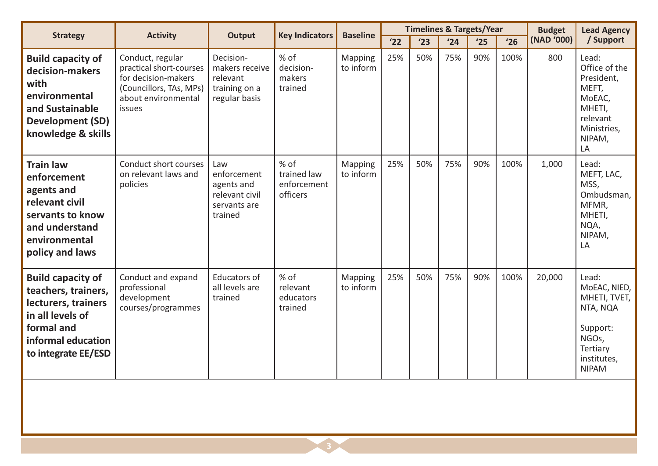|                                                                                                                                                       | <b>Activity</b>                                                                                                                |                                                                               | <b>Key Indicators</b>                          |                             | <b>Timelines &amp; Targets/Year</b><br><b>Baseline</b> |     |     |     |      | <b>Budget</b> | <b>Lead Agency</b>                                                                                                |
|-------------------------------------------------------------------------------------------------------------------------------------------------------|--------------------------------------------------------------------------------------------------------------------------------|-------------------------------------------------------------------------------|------------------------------------------------|-----------------------------|--------------------------------------------------------|-----|-----|-----|------|---------------|-------------------------------------------------------------------------------------------------------------------|
| <b>Strategy</b>                                                                                                                                       |                                                                                                                                | <b>Output</b>                                                                 |                                                |                             | '22                                                    | '23 | '24 | '25 | '26  | (NAD '000)    | / Support                                                                                                         |
| <b>Build capacity of</b><br>decision-makers<br>with<br>environmental<br>and Sustainable<br><b>Development (SD)</b><br>knowledge & skills              | Conduct, regular<br>practical short-courses<br>for decision-makers<br>(Councillors, TAs, MPs)<br>about environmental<br>issues | Decision-<br>makers receive<br>relevant<br>training on a<br>regular basis     | % of<br>decision-<br>makers<br>trained         | Mapping<br>to inform        | 25%                                                    | 50% | 75% | 90% | 100% | 800           | Lead:<br>Office of the<br>President,<br>MEFT,<br>MoEAC,<br>MHETI,<br>relevant<br>Ministries,<br>NIPAM,<br>LA      |
| <b>Train law</b><br>enforcement<br>agents and<br>relevant civil<br>servants to know<br>and understand<br>environmental<br>policy and laws             | Conduct short courses<br>on relevant laws and<br>policies                                                                      | Law<br>enforcement<br>agents and<br>relevant civil<br>servants are<br>trained | % of<br>trained law<br>enforcement<br>officers | <b>Mapping</b><br>to inform | 25%                                                    | 50% | 75% | 90% | 100% | 1,000         | Lead:<br>MEFT, LAC,<br>MSS,<br>Ombudsman,<br>MFMR,<br>MHETI,<br>NQA,<br>NIPAM,<br>LA                              |
| <b>Build capacity of</b><br>teachers, trainers,<br>lecturers, trainers<br>in all levels of<br>formal and<br>informal education<br>to integrate EE/ESD | Conduct and expand<br>professional<br>development<br>courses/programmes                                                        | Educators of<br>all levels are<br>trained                                     | % of<br>relevant<br>educators<br>trained       | Mapping<br>to inform        | 25%                                                    | 50% | 75% | 90% | 100% | 20,000        | Lead:<br>MoEAC, NIED,<br>MHETI, TVET,<br>NTA, NQA<br>Support:<br>NGOs,<br>Tertiary<br>institutes,<br><b>NIPAM</b> |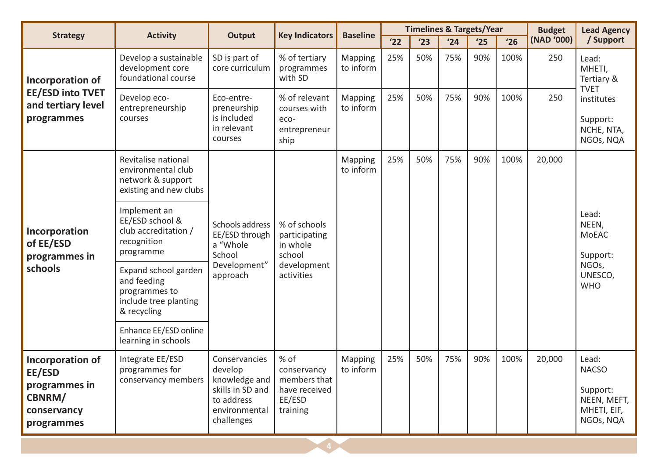| <b>Strategy</b>                                                                    | <b>Activity</b>                                                                              | <b>Output</b>                                                                                              | <b>Key Indicators</b>                                                      | <b>Baseline</b>             |     | <b>Timelines &amp; Targets/Year</b> |     |     |      | <b>Budget</b> | <b>Lead Agency</b>                                                           |
|------------------------------------------------------------------------------------|----------------------------------------------------------------------------------------------|------------------------------------------------------------------------------------------------------------|----------------------------------------------------------------------------|-----------------------------|-----|-------------------------------------|-----|-----|------|---------------|------------------------------------------------------------------------------|
|                                                                                    |                                                                                              |                                                                                                            |                                                                            |                             | '22 | '23                                 | '24 | '25 | '26  | (NAD '000)    | / Support                                                                    |
| Incorporation of                                                                   | Develop a sustainable<br>development core<br>foundational course                             | SD is part of<br>core curriculum                                                                           | % of tertiary<br>programmes<br>with SD                                     | <b>Mapping</b><br>to inform | 25% | 50%                                 | 75% | 90% | 100% | 250           | Lead:<br>MHETI,<br>Tertiary &<br><b>TVET</b>                                 |
| <b>EE/ESD into TVET</b><br>and tertiary level<br>programmes                        | Develop eco-<br>entrepreneurship<br>courses                                                  | Eco-entre-<br>preneurship<br>is included<br>in relevant<br>courses                                         | % of relevant<br>courses with<br>eco-<br>entrepreneur<br>ship              | <b>Mapping</b><br>to inform | 25% | 50%                                 | 75% | 90% | 100% | 250           | institutes<br>Support:<br>NCHE, NTA,<br>NGOs, NQA                            |
|                                                                                    | Revitalise national<br>environmental club<br>network & support<br>existing and new clubs     |                                                                                                            |                                                                            | <b>Mapping</b><br>to inform | 25% | 50%                                 | 75% | 90% | 100% | 20,000        |                                                                              |
| Incorporation<br>of EE/ESD<br>programmes in                                        | Implement an<br>EE/ESD school &<br>club accreditation /<br>recognition<br>programme          | Schools address<br>EE/ESD through<br>a "Whole<br>School                                                    | % of schools<br>participating<br>in whole<br>school                        |                             |     |                                     |     |     |      |               | Lead:<br>NEEN,<br><b>MoEAC</b><br>Support:                                   |
| schools                                                                            | Expand school garden<br>and feeding<br>programmes to<br>include tree planting<br>& recycling | Development"<br>approach                                                                                   | development<br>activities                                                  |                             |     |                                     |     |     |      |               | NGOs,<br>UNESCO,<br><b>WHO</b>                                               |
|                                                                                    | Enhance EE/ESD online<br>learning in schools                                                 |                                                                                                            |                                                                            |                             |     |                                     |     |     |      |               |                                                                              |
| Incorporation of<br>EE/ESD<br>programmes in<br>CBNRM/<br>conservancy<br>programmes | Integrate EE/ESD<br>programmes for<br>conservancy members                                    | Conservancies<br>develop<br>knowledge and<br>skills in SD and<br>to address<br>environmental<br>challenges | % of<br>conservancy<br>members that<br>have received<br>EE/ESD<br>training | <b>Mapping</b><br>to inform | 25% | 50%                                 | 75% | 90% | 100% | 20,000        | Lead:<br><b>NACSO</b><br>Support:<br>NEEN, MEFT,<br>MHETI, EIF,<br>NGOs, NQA |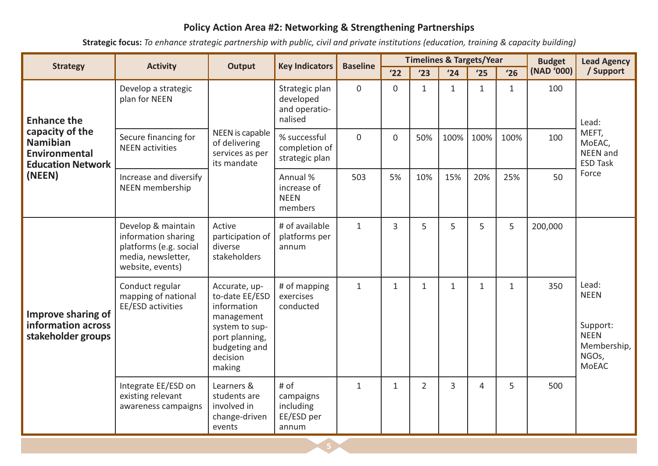## Policy Action Area #2: Networking & Strengthening Partnerships

Strategic focus: To enhance strategic partnership with public, civil and private institutions (education, training & capacity building)

| <b>Strategy</b>                                                                        | <b>Activity</b>                                                                                               | <b>Key Indicators</b><br><b>Baseline</b><br><b>Output</b>                                                                               |                                                         |                |                |                | <b>Timelines &amp; Targets/Year</b> |              | <b>Budget</b> | <b>Lead Agency</b> |                                                                                         |
|----------------------------------------------------------------------------------------|---------------------------------------------------------------------------------------------------------------|-----------------------------------------------------------------------------------------------------------------------------------------|---------------------------------------------------------|----------------|----------------|----------------|-------------------------------------|--------------|---------------|--------------------|-----------------------------------------------------------------------------------------|
|                                                                                        |                                                                                                               |                                                                                                                                         |                                                         |                | '22            | '23            | '24                                 | '25          | '26           | (NAD '000)         | / Support                                                                               |
| <b>Enhance the</b>                                                                     | Develop a strategic<br>plan for NEEN                                                                          |                                                                                                                                         | Strategic plan<br>developed<br>and operatio-<br>nalised | $\overline{0}$ | $\mathbf 0$    | $\mathbf{1}$   | $\mathbf{1}$                        | $\mathbf{1}$ | $\mathbf{1}$  | 100                | Lead:                                                                                   |
| capacity of the<br><b>Namibian</b><br><b>Environmental</b><br><b>Education Network</b> | Secure financing for<br><b>NEEN</b> activities                                                                | NEEN is capable<br>of delivering<br>services as per<br>its mandate                                                                      | % successful<br>completion of<br>strategic plan         | $\Omega$       | $\Omega$       | 50%            | 100%                                | 100%         | 100%          | 100                | MEFT,<br>MoEAC,<br>NEEN and<br><b>ESD Task</b>                                          |
| (NEEN)                                                                                 | Increase and diversify<br><b>NEEN</b> membership                                                              |                                                                                                                                         | Annual %<br>increase of<br><b>NEEN</b><br>members       | 503            | 5%             | 10%            | 15%                                 | 20%          | 25%           | 50                 | Force                                                                                   |
|                                                                                        | Develop & maintain<br>information sharing<br>platforms (e.g. social<br>media, newsletter,<br>website, events) | Active<br>participation of<br>diverse<br>stakeholders                                                                                   | # of available<br>platforms per<br>annum                | $\mathbf{1}$   | $\overline{3}$ | 5              | 5                                   | 5            | 5             | 200,000            |                                                                                         |
| Improve sharing of<br>information across<br>stakeholder groups                         | Conduct regular<br>mapping of national<br>EE/ESD activities                                                   | Accurate, up-<br>to-date EE/ESD<br>information<br>management<br>system to sup-<br>port planning,<br>budgeting and<br>decision<br>making | # of mapping<br>exercises<br>conducted                  | $\mathbf{1}$   | $\mathbf{1}$   | $\mathbf{1}$   | $\mathbf{1}$                        | $\mathbf{1}$ | $\mathbf{1}$  | 350                | Lead:<br><b>NEEN</b><br>Support:<br><b>NEEN</b><br>Membership,<br>NGOs,<br><b>MoEAC</b> |
|                                                                                        | Integrate EE/ESD on<br>existing relevant<br>awareness campaigns                                               | Learners &<br>students are<br>involved in<br>change-driven<br>events                                                                    | # of<br>campaigns<br>including<br>EE/ESD per<br>annum   | $\mathbf{1}$   | $\mathbf{1}$   | $\overline{2}$ | 3                                   | 4            | 5             | 500                |                                                                                         |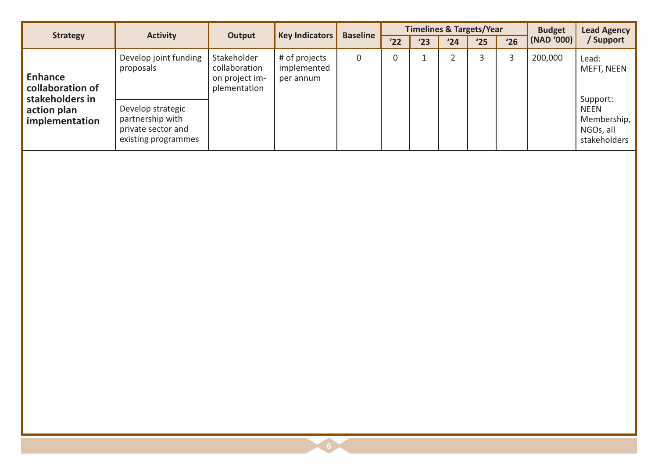| <b>Strategy</b>                                       | <b>Activity</b>                                                                    | Output                                                         | <b>Key Indicators</b>                     | <b>Baseline</b> |             | <b>Timelines &amp; Targets/Year</b> |                |                |              | <b>Budget</b> | <b>Lead Agency</b>                                      |
|-------------------------------------------------------|------------------------------------------------------------------------------------|----------------------------------------------------------------|-------------------------------------------|-----------------|-------------|-------------------------------------|----------------|----------------|--------------|---------------|---------------------------------------------------------|
|                                                       |                                                                                    |                                                                |                                           |                 | '22         | '23                                 | '24            | '25            | '26          | (NAD '000)    | / Support                                               |
| <b>Enhance</b><br>collaboration of<br>stakeholders in | Develop joint funding<br>proposals                                                 | Stakeholder<br>collaboration<br>on project im-<br>plementation | # of projects<br>implemented<br>per annum | $\mathsf{O}$    | $\mathbf 0$ | $\mathbf{1}$                        | $\overline{2}$ | $\overline{3}$ | $\mathbf{3}$ | 200,000       | Lead:<br>MEFT, NEEN<br>Support:                         |
| action plan<br>implementation                         | Develop strategic<br>partnership with<br>private sector and<br>existing programmes |                                                                |                                           |                 |             |                                     |                |                |              |               | <b>NEEN</b><br>Membership,<br>NGOs, all<br>stakeholders |
|                                                       |                                                                                    |                                                                |                                           |                 |             |                                     |                |                |              |               |                                                         |
|                                                       |                                                                                    |                                                                |                                           |                 |             |                                     |                |                |              |               |                                                         |
|                                                       |                                                                                    |                                                                |                                           |                 |             |                                     |                |                |              |               |                                                         |
|                                                       |                                                                                    |                                                                |                                           |                 |             |                                     |                |                |              |               |                                                         |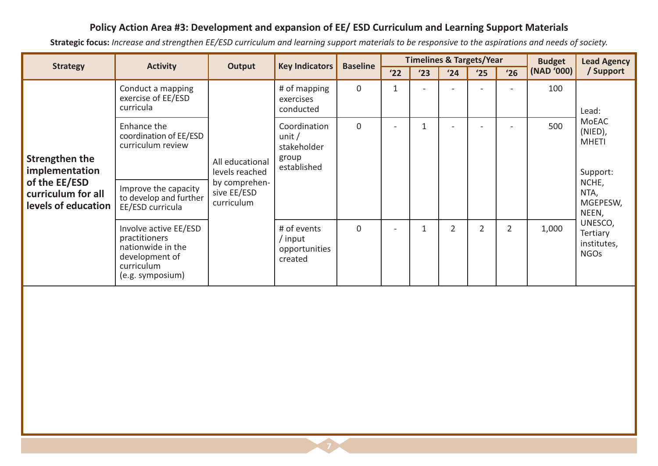### Policy Action Area #3: Development and expansion of EE/ ESD Curriculum and Learning Support Materials

Strategic focus: Increase and strengthen EE/ESD curriculum and learning support materials to be responsive to the aspirations and needs of society.

|                                                                                                | <b>Activity</b>                                                                                                                  | <b>Key Indicators</b><br>Output                                                 | <b>Baseline</b>                                                 |             | <b>Timelines &amp; Targets/Year</b> |     |                |                | <b>Budget</b>  | <b>Lead Agency</b> |                                                                                           |
|------------------------------------------------------------------------------------------------|----------------------------------------------------------------------------------------------------------------------------------|---------------------------------------------------------------------------------|-----------------------------------------------------------------|-------------|-------------------------------------|-----|----------------|----------------|----------------|--------------------|-------------------------------------------------------------------------------------------|
| <b>Strategy</b>                                                                                |                                                                                                                                  |                                                                                 |                                                                 |             | '22                                 | '23 | '24            | '25            | '26            | (NAD '000)         | / Support                                                                                 |
|                                                                                                | Conduct a mapping<br>exercise of EE/ESD<br>curricula                                                                             |                                                                                 | # of mapping<br>exercises<br>conducted                          | $\mathbf 0$ | 1                                   |     |                |                |                | 100                | Lead:                                                                                     |
| Strengthen the<br>implementation<br>of the EE/ESD<br>curriculum for all<br>levels of education | Enhance the<br>coordination of EE/ESD<br>curriculum review<br>Improve the capacity<br>to develop and further<br>EE/ESD curricula | All educational<br>levels reached<br>by comprehen-<br>sive EE/ESD<br>curriculum | Coordination<br>unit $/$<br>stakeholder<br>group<br>established | $\Omega$    | $\blacksquare$                      |     | $\blacksquare$ |                |                | 500                | <b>MoEAC</b><br>(NIED),<br><b>MHETI</b><br>Support:<br>NCHE,<br>NTA,<br>MGEPESW,<br>NEEN, |
|                                                                                                | Involve active EE/ESD<br>practitioners<br>nationwide in the<br>development of<br>curriculum<br>(e.g. symposium)                  |                                                                                 | # of events<br>/ input<br>opportunities<br>created              | $\Omega$    | -                                   |     | $\overline{2}$ | $\overline{2}$ | $\overline{2}$ | 1,000              | UNESCO,<br>Tertiary<br>institutes,<br><b>NGOs</b>                                         |

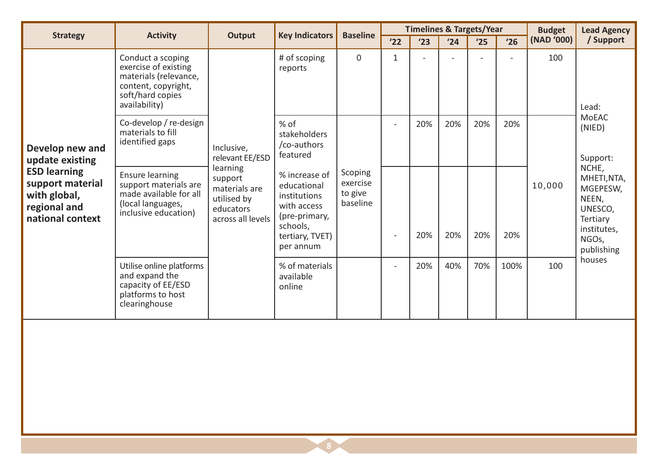| <b>Strategy</b>                                                                             | <b>Activity</b>                                                                                                                | <b>Output</b>                                                                         | <b>Key Indicators</b>                                                                                                    | <b>Baseline</b>                            |              | <b>Timelines &amp; Targets/Year</b> |     |     |      | <b>Budget</b> | <b>Lead Agency</b>                                                                                     |
|---------------------------------------------------------------------------------------------|--------------------------------------------------------------------------------------------------------------------------------|---------------------------------------------------------------------------------------|--------------------------------------------------------------------------------------------------------------------------|--------------------------------------------|--------------|-------------------------------------|-----|-----|------|---------------|--------------------------------------------------------------------------------------------------------|
|                                                                                             |                                                                                                                                |                                                                                       |                                                                                                                          |                                            | '22          | '23                                 | '24 | '25 | '26  | (NAD '000)    | / Support                                                                                              |
|                                                                                             | Conduct a scoping<br>exercise of existing<br>materials (relevance,<br>content, copyright,<br>soft/hard copies<br>availability) |                                                                                       | # of scoping<br>reports                                                                                                  | $\mathbf 0$                                | $\mathbf{1}$ |                                     |     |     |      | 100           | Lead:                                                                                                  |
| Develop new and<br>update existing                                                          | Co-develop / re-design<br>materials to fill<br>identified gaps                                                                 | Inclusive,<br>relevant EE/ESD                                                         | % of<br>stakeholders<br>/co-authors<br>featured                                                                          |                                            |              | 20%                                 | 20% | 20% | 20%  |               | <b>MoEAC</b><br>(NIED)<br>Support:                                                                     |
| <b>ESD learning</b><br>support material<br>with global,<br>regional and<br>national context | <b>Ensure learning</b><br>support materials are<br>made available for all<br>(local languages,<br>inclusive education)         | learning<br>support<br>materials are<br>utilised by<br>educators<br>across all levels | % increase of<br>educational<br>institutions<br>with access<br>(pre-primary,<br>schools,<br>tertiary, TVET)<br>per annum | Scoping<br>exercise<br>to give<br>baseline |              | 20%                                 | 20% | 20% | 20%  | 10,000        | NCHE,<br>MHETI, NTA,<br>MGEPESW,<br>NEEN,<br>UNESCO,<br>Tertiary<br>institutes,<br>NGOs,<br>publishing |
|                                                                                             | Utilise online platforms<br>and expand the<br>capacity of EE/ESD<br>platforms to host<br>clearinghouse                         |                                                                                       | % of materials<br>available<br>online                                                                                    |                                            | $\sim$       | 20%                                 | 40% | 70% | 100% | 100           | houses                                                                                                 |
|                                                                                             |                                                                                                                                |                                                                                       |                                                                                                                          |                                            |              |                                     |     |     |      |               |                                                                                                        |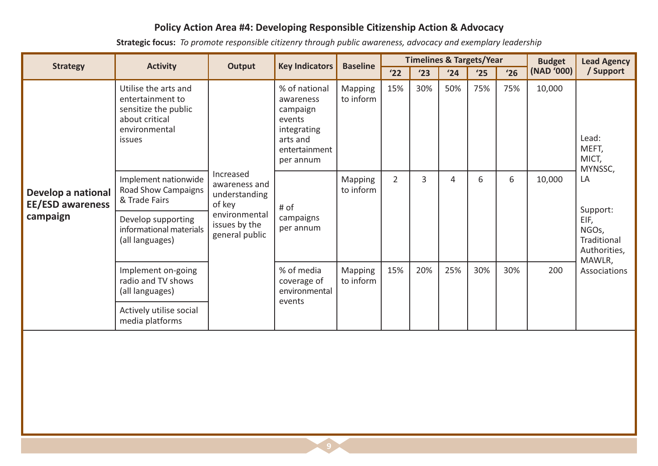## Policy Action Area #4: Developing Responsible Citizenship Action & Advocacy

Strategic focus: To promote responsible citizenry through public awareness, advocacy and exemplary leadership

|                                               |                                                                                                                      | <b>Key Indicators</b><br>Output                       |                                                                                                           | <b>Baseline</b>             |                | <b>Timelines &amp; Targets/Year</b> |     |     |     | <b>Budget</b> | <b>Lead Agency</b>                                     |
|-----------------------------------------------|----------------------------------------------------------------------------------------------------------------------|-------------------------------------------------------|-----------------------------------------------------------------------------------------------------------|-----------------------------|----------------|-------------------------------------|-----|-----|-----|---------------|--------------------------------------------------------|
| <b>Strategy</b>                               | <b>Activity</b>                                                                                                      |                                                       |                                                                                                           |                             | '22            | '23                                 | '24 | '25 | '26 | (NAD '000)    | / Support                                              |
|                                               | Utilise the arts and<br>entertainment to<br>sensitize the public<br>about critical<br>environmental<br><i>issues</i> |                                                       | % of national<br>awareness<br>campaign<br>events<br>integrating<br>arts and<br>entertainment<br>per annum | Mapping<br>to inform        | 15%            | 30%                                 | 50% | 75% | 75% | 10,000        | Lead:<br>MEFT,<br>MICT,<br>MYNSSC,                     |
| Develop a national<br><b>EE/ESD awareness</b> | Implement nationwide<br><b>Road Show Campaigns</b><br>& Trade Fairs                                                  | Increased<br>awareness and<br>understanding<br>of key | # of                                                                                                      | <b>Mapping</b><br>to inform | $\overline{2}$ | 3                                   | 4   | 6   | 6   | 10,000        | LA<br>Support:                                         |
| campaign                                      | Develop supporting<br>informational materials<br>(all languages)                                                     | environmental<br>issues by the<br>general public      | campaigns<br>per annum                                                                                    |                             |                |                                     |     |     |     |               | EIF,<br>NGOs,<br>Traditional<br>Authorities,<br>MAWLR, |
|                                               | Implement on-going<br>radio and TV shows<br>(all languages)                                                          |                                                       | % of media<br>coverage of<br>environmental                                                                | <b>Mapping</b><br>to inform | 15%            | 20%                                 | 25% | 30% | 30% | 200           | Associations                                           |
|                                               | Actively utilise social<br>media platforms                                                                           |                                                       | events                                                                                                    |                             |                |                                     |     |     |     |               |                                                        |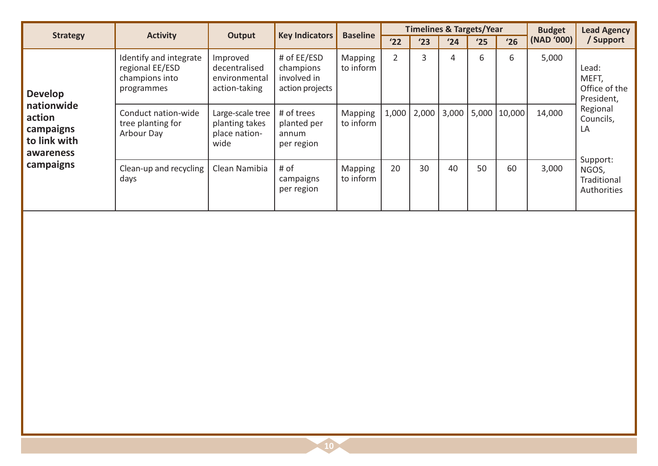| <b>Strategy</b>                                                | <b>Activity</b>                                                           | Output                                                      | <b>Key Indicators</b>                                      | <b>Baseline</b>             |                | <b>Timelines &amp; Targets/Year</b> |       |     |                  | <b>Budget</b> | <b>Lead Agency</b>                                     |
|----------------------------------------------------------------|---------------------------------------------------------------------------|-------------------------------------------------------------|------------------------------------------------------------|-----------------------------|----------------|-------------------------------------|-------|-----|------------------|---------------|--------------------------------------------------------|
|                                                                |                                                                           |                                                             |                                                            |                             | '22            | '23                                 | '24   | '25 | '26              | (NAD '000)    | / Support                                              |
| <b>Develop</b>                                                 | Identify and integrate<br>regional EE/ESD<br>champions into<br>programmes | Improved<br>decentralised<br>environmental<br>action-taking | # of EE/ESD<br>champions<br>involved in<br>action projects | <b>Mapping</b><br>to inform | $\overline{2}$ | 3                                   | 4     | 6   | 6                | 5,000         | Lead:<br>MEFT,<br>Office of the<br>President,          |
| nationwide<br>action<br>campaigns<br>to link with<br>awareness | Conduct nation-wide<br>tree planting for<br>Arbour Day                    | Large-scale tree<br>planting takes<br>place nation-<br>wide | # of trees<br>planted per<br>annum<br>per region           | <b>Mapping</b><br>to inform | 1,000          | 2,000                               | 3,000 |     | $5,000$   10,000 | 14,000        | Regional<br>Councils,<br>LA                            |
| campaigns                                                      | Clean-up and recycling<br>days                                            | Clean Namibia                                               | # of<br>campaigns<br>per region                            | Mapping<br>to inform        | 20             | 30                                  | 40    | 50  | 60               | 3,000         | Support:<br>NGOS,<br><b>Traditional</b><br>Authorities |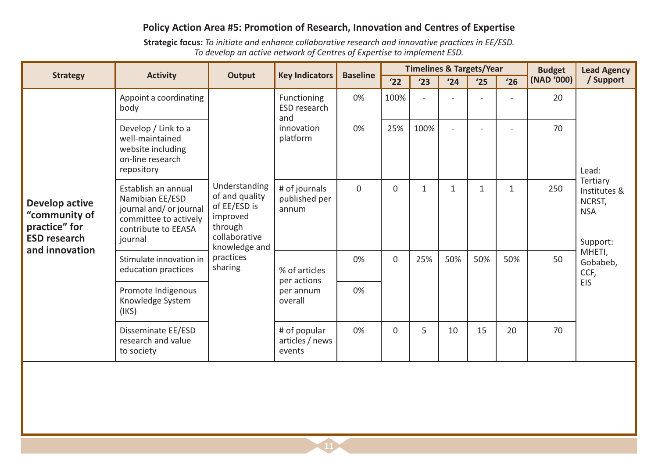#### Policy Action Area #5: Promotion of Research, Innovation and Centres of Expertise

Strategic focus: To initiate and enhance collaborative research and innovative practices in EE/ESD. To develop an active network of Centres of Expertise to implement ESD.

|                                                                                                  | <b>Activity</b>                                                                                                              | <b>Key Indicators</b><br><b>Output</b>                                                                   | <b>Baseline</b>                           |                | <b>Timelines &amp; Targets/Year</b> |              |                |     | <b>Budget</b> | <b>Lead Agency</b> |                                                              |
|--------------------------------------------------------------------------------------------------|------------------------------------------------------------------------------------------------------------------------------|----------------------------------------------------------------------------------------------------------|-------------------------------------------|----------------|-------------------------------------|--------------|----------------|-----|---------------|--------------------|--------------------------------------------------------------|
| <b>Strategy</b>                                                                                  |                                                                                                                              |                                                                                                          |                                           |                | '22                                 | '23          | '24            | '25 | '26           | (NAD '000)         | / Support                                                    |
|                                                                                                  | Appoint a coordinating<br>body                                                                                               |                                                                                                          | Functioning<br>ESD research<br>and        | 0%             | 100%                                | $\sim$       |                |     |               | 20                 |                                                              |
|                                                                                                  | Develop / Link to a<br>well-maintained<br>website including<br>on-line research<br>repository                                |                                                                                                          | innovation<br>platform                    | 0%             | 25%                                 | 100%         | $\blacksquare$ |     |               | 70                 | Lead:                                                        |
| <b>Develop active</b><br>"community of<br>practice" for<br><b>ESD research</b><br>and innovation | Establish an annual<br>Namibian EE/ESD<br>journal and/ or journal<br>committee to actively<br>contribute to EEASA<br>journal | Understanding<br>of and quality<br>of EE/ESD is<br>improved<br>through<br>collaborative<br>knowledge and | # of journals<br>published per<br>annum   | $\overline{0}$ | $\mathbf 0$                         | $\mathbf{1}$ | $\mathbf{1}$   | 1   | $\mathbf{1}$  | 250                | Tertiary<br>Institutes &<br>NCRST,<br><b>NSA</b><br>Support: |
|                                                                                                  | Stimulate innovation in<br>education practices                                                                               | practices<br>sharing                                                                                     | % of articles<br>per actions              | 0%             | $\mathbf 0$                         | 25%          | 50%            | 50% | 50%           | 50                 | MHETI,<br>Gobabeb,<br>CCF,<br><b>EIS</b>                     |
|                                                                                                  | Promote Indigenous<br>Knowledge System<br>(IKS)                                                                              |                                                                                                          | per annum<br>overall                      | 0%             |                                     |              |                |     |               |                    |                                                              |
|                                                                                                  | Disseminate EE/ESD<br>research and value<br>to society                                                                       |                                                                                                          | # of popular<br>articles / news<br>events | 0%             | $\Omega$                            | 5            | 10             | 15  | 20            | 70                 |                                                              |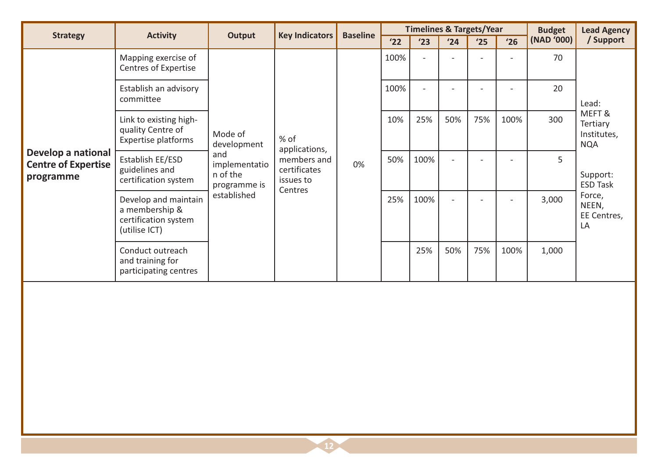|                                                               |                                                                                 | <b>Baseline</b><br><b>Key Indicators</b><br>Output |                                                     |    | <b>Timelines &amp; Targets/Year</b> |                |        |     | <b>Budget</b> | <b>Lead Agency</b> |                                                |
|---------------------------------------------------------------|---------------------------------------------------------------------------------|----------------------------------------------------|-----------------------------------------------------|----|-------------------------------------|----------------|--------|-----|---------------|--------------------|------------------------------------------------|
| <b>Strategy</b>                                               | <b>Activity</b>                                                                 |                                                    |                                                     |    | '22                                 | '23            | '24    | '25 | '26           | (NAD '000)         | / Support                                      |
|                                                               | Mapping exercise of<br><b>Centres of Expertise</b>                              |                                                    |                                                     |    | 100%                                | $\overline{a}$ |        |     |               | 70                 |                                                |
|                                                               | Establish an advisory<br>committee                                              |                                                    |                                                     |    | 100%                                | $\sim$         |        |     |               | 20                 | Lead:                                          |
|                                                               | Link to existing high-<br>quality Centre of<br><b>Expertise platforms</b>       | Mode of<br>development                             | % of<br>applications,                               |    | 10%                                 | 25%            | 50%    | 75% | 100%          | 300                | MEFT&<br>Tertiary<br>Institutes,<br><b>NQA</b> |
| Develop a national<br><b>Centre of Expertise</b><br>programme | Establish EE/ESD<br>guidelines and<br>certification system                      | and<br>implementatio<br>n of the<br>programme is   | members and<br>certificates<br>issues to<br>Centres | 0% | 50%                                 | 100%           |        |     |               | 5                  | Support:<br><b>ESD Task</b>                    |
|                                                               | Develop and maintain<br>a membership &<br>certification system<br>(utilise ICT) | established                                        |                                                     |    | 25%                                 | 100%           | $\sim$ |     |               | 3,000              | Force,<br>NEEN,<br>EE Centres,<br>LA           |
|                                                               | Conduct outreach<br>and training for<br>participating centres                   |                                                    |                                                     |    |                                     | 25%            | 50%    | 75% | 100%          | 1,000              |                                                |
|                                                               |                                                                                 |                                                    |                                                     |    |                                     |                |        |     |               |                    |                                                |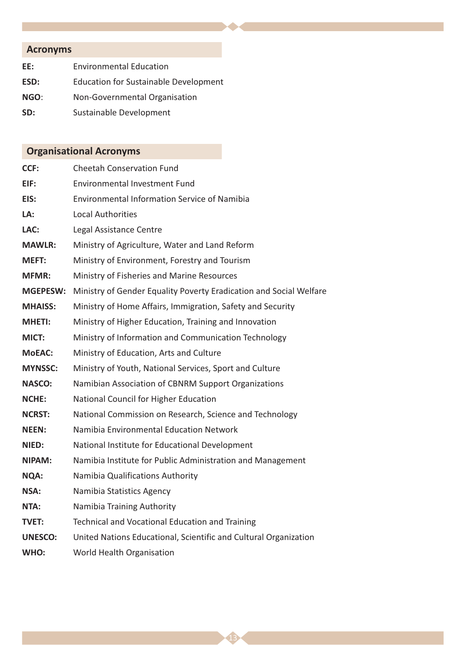# **Acronyms**

| EE:  | <b>Environmental Education</b>               |
|------|----------------------------------------------|
| ESD: | <b>Education for Sustainable Development</b> |
| NGO: | Non-Governmental Organisation                |
| SD:  | Sustainable Development                      |

# **Organisational Acronyms**

| CCF:            | <b>Cheetah Conservation Fund</b>                                   |
|-----------------|--------------------------------------------------------------------|
| EIF:            | <b>Environmental Investment Fund</b>                               |
| EIS:            | <b>Environmental Information Service of Namibia</b>                |
| LA:             | <b>Local Authorities</b>                                           |
| LAC:            | Legal Assistance Centre                                            |
| <b>MAWLR:</b>   | Ministry of Agriculture, Water and Land Reform                     |
| <b>MEFT:</b>    | Ministry of Environment, Forestry and Tourism                      |
| <b>MFMR:</b>    | Ministry of Fisheries and Marine Resources                         |
| <b>MGEPESW:</b> | Ministry of Gender Equality Poverty Eradication and Social Welfare |
| <b>MHAISS:</b>  | Ministry of Home Affairs, Immigration, Safety and Security         |
| <b>MHETI:</b>   | Ministry of Higher Education, Training and Innovation              |
| MICT:           | Ministry of Information and Communication Technology               |
| <b>MoEAC:</b>   | Ministry of Education, Arts and Culture                            |
| <b>MYNSSC:</b>  | Ministry of Youth, National Services, Sport and Culture            |
| <b>NASCO:</b>   | Namibian Association of CBNRM Support Organizations                |
| <b>NCHE:</b>    | National Council for Higher Education                              |
| <b>NCRST:</b>   | National Commission on Research, Science and Technology            |
| <b>NEEN:</b>    | Namibia Environmental Education Network                            |
| NIED:           | National Institute for Educational Development                     |
| NIPAM:          | Namibia Institute for Public Administration and Management         |
| <b>NQA:</b>     | Namibia Qualifications Authority                                   |
| NSA:            | Namibia Statistics Agency                                          |
| NTA:            | Namibia Training Authority                                         |
| <b>TVET:</b>    | <b>Technical and Vocational Education and Training</b>             |
| <b>UNESCO:</b>  | United Nations Educational, Scientific and Cultural Organization   |
|                 |                                                                    |

43

WHO: World Health Organisation